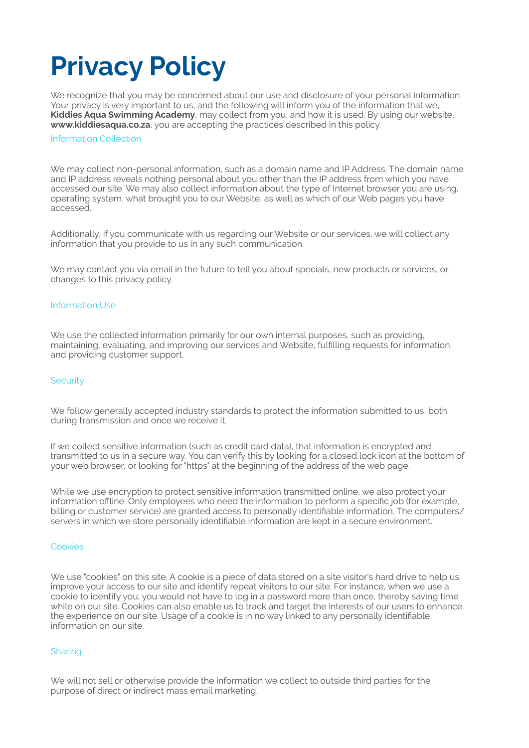# **Privacy Policy**

We recognize that you may be concerned about our use and disclosure of your personal information. Your privacy is very important to us, and the following will inform you of the information that we, **Kiddies Aqua Swimming Academy**, may collect from you, and how it is used. By using our website, **www.kiddiesaqua.co.za**, you are accepting the practices described in this policy.

#### Information Collection

We may collect non-personal information, such as a domain name and IP Address. The domain name and IP address reveals nothing personal about you other than the IP address from which you have accessed our site. We may also collect information about the type of Internet browser you are using, operating system, what brought you to our Website, as well as which of our Web pages you have accessed.

Additionally, if you communicate with us regarding our Website or our services, we will collect any information that you provide to us in any such communication.

We may contact you via email in the future to tell you about specials, new products or services, or changes to this privacy policy.

## Information Use

We use the collected information primarily for our own internal purposes, such as providing, maintaining, evaluating, and improving our services and Website, fulfilling requests for information, and providing customer support.

#### **Security**

We follow generally accepted industry standards to protect the information submitted to us, both during transmission and once we receive it.

If we collect sensitive information (such as credit card data), that information is encrypted and transmitted to us in a secure way. You can verify this by looking for a closed lock icon at the bottom of your web browser, or looking for "https" at the beginning of the address of the web page.

While we use encryption to protect sensitive information transmitted online, we also protect your information offline. Only employees who need the information to perform a specific job (for example, billing or customer service) are granted access to personally identifiable information. The computers/ servers in which we store personally identifiable information are kept in a secure environment.

#### Cookies

We use "cookies" on this site. A cookie is a piece of data stored on a site visitor's hard drive to help us improve your access to our site and identify repeat visitors to our site. For instance, when we use a cookie to identify you, you would not have to log in a password more than once, thereby saving time while on our site. Cookies can also enable us to track and target the interests of our users to enhance the experience on our site. Usage of a cookie is in no way linked to any personally identifiable information on our site.

# **Sharing**

We will not sell or otherwise provide the information we collect to outside third parties for the purpose of direct or indirect mass email marketing.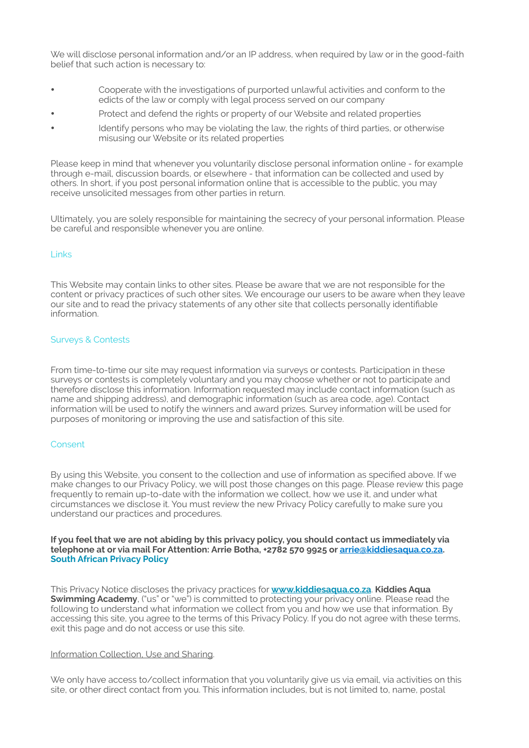We will disclose personal information and/or an IP address, when required by law or in the good-faith belief that such action is necessary to:

- Cooperate with the investigations of purported unlawful activities and conform to the edicts of the law or comply with legal process served on our company
- Protect and defend the rights or property of our Website and related properties
- Identify persons who may be violating the law, the rights of third parties, or otherwise misusing our Website or its related properties

Please keep in mind that whenever you voluntarily disclose personal information online - for example through e-mail, discussion boards, or elsewhere - that information can be collected and used by others. In short, if you post personal information online that is accessible to the public, you may receive unsolicited messages from other parties in return.

Ultimately, you are solely responsible for maintaining the secrecy of your personal information. Please be careful and responsible whenever you are online.

#### Links

This Website may contain links to other sites. Please be aware that we are not responsible for the content or privacy practices of such other sites. We encourage our users to be aware when they leave our site and to read the privacy statements of any other site that collects personally identifiable information.

#### Surveys & Contests

From time-to-time our site may request information via surveys or contests. Participation in these surveys or contests is completely voluntary and you may choose whether or not to participate and therefore disclose this information. Information requested may include contact information (such as name and shipping address), and demographic information (such as area code, age). Contact information will be used to notify the winners and award prizes. Survey information will be used for purposes of monitoring or improving the use and satisfaction of this site.

#### Consent

By using this Website, you consent to the collection and use of information as specified above. If we make changes to our Privacy Policy, we will post those changes on this page. Please review this page frequently to remain up-to-date with the information we collect, how we use it, and under what circumstances we disclose it. You must review the new Privacy Policy carefully to make sure you understand our practices and procedures.

**If you feel that we are not abiding by this privacy policy, you should contact us immediately via telephone at or via mail For Attention: Arrie Botha, +2782 570 9925 or [arrie@kiddiesaqua.co.za](mailto:arrie@kiddiesaqua.co.za). South African Privacy Policy** 

This Privacy Notice discloses the privacy practices for **www.kiddiesaqua.co.za**. **Kiddies Aqua Swimming Academy**, ("us" or "we") is committed to protecting your privacy online. Please read the following to understand what information we collect from you and how we use that information. By accessing this site, you agree to the terms of this Privacy Policy. If you do not agree with these terms, exit this page and do not access or use this site.

#### Information Collection, Use and Sharing.

We only have access to/collect information that you voluntarily give us via email, via activities on this site, or other direct contact from you. This information includes, but is not limited to, name, postal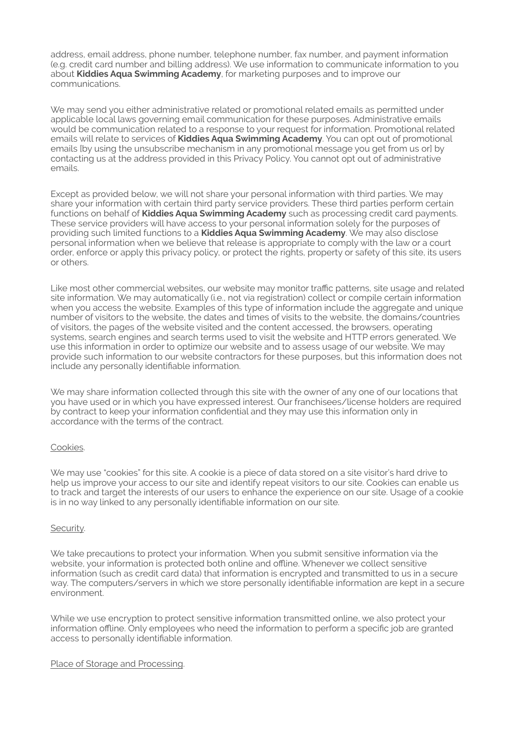address, email address, phone number, telephone number, fax number, and payment information (e.g. credit card number and billing address). We use information to communicate information to you about **Kiddies Aqua Swimming Academy**, for marketing purposes and to improve our communications.

We may send you either administrative related or promotional related emails as permitted under applicable local laws governing email communication for these purposes. Administrative emails would be communication related to a response to your request for information. Promotional related emails will relate to services of **Kiddies Aqua Swimming Academy**. You can opt out of promotional emails [by using the unsubscribe mechanism in any promotional message you get from us or] by contacting us at the address provided in this Privacy Policy. You cannot opt out of administrative emails.

Except as provided below, we will not share your personal information with third parties. We may share your information with certain third party service providers. These third parties perform certain functions on behalf of **Kiddies Aqua Swimming Academy** such as processing credit card payments. These service providers will have access to your personal information solely for the purposes of providing such limited functions to a **Kiddies Aqua Swimming Academy**. We may also disclose personal information when we believe that release is appropriate to comply with the law or a court order, enforce or apply this privacy policy, or protect the rights, property or safety of this site, its users or others.

Like most other commercial websites, our website may monitor traffic patterns, site usage and related site information. We may automatically (i.e., not via registration) collect or compile certain information when you access the website. Examples of this type of information include the aggregate and unique number of visitors to the website, the dates and times of visits to the website, the domains/countries of visitors, the pages of the website visited and the content accessed, the browsers, operating systems, search engines and search terms used to visit the website and HTTP errors generated. We use this information in order to optimize our website and to assess usage of our website. We may provide such information to our website contractors for these purposes, but this information does not include any personally identifiable information.

We may share information collected through this site with the owner of any one of our locations that you have used or in which you have expressed interest. Our franchisees/license holders are required by contract to keep your information confidential and they may use this information only in accordance with the terms of the contract.

# Cookies.

We may use "cookies" for this site. A cookie is a piece of data stored on a site visitor's hard drive to help us improve your access to our site and identify repeat visitors to our site. Cookies can enable us to track and target the interests of our users to enhance the experience on our site. Usage of a cookie is in no way linked to any personally identifiable information on our site.

#### Security.

We take precautions to protect your information. When you submit sensitive information via the website, your information is protected both online and offline. Whenever we collect sensitive information (such as credit card data) that information is encrypted and transmitted to us in a secure way. The computers/servers in which we store personally identifiable information are kept in a secure environment.

While we use encryption to protect sensitive information transmitted online, we also protect your information offline. Only employees who need the information to perform a specific job are granted access to personally identifiable information.

#### Place of Storage and Processing.